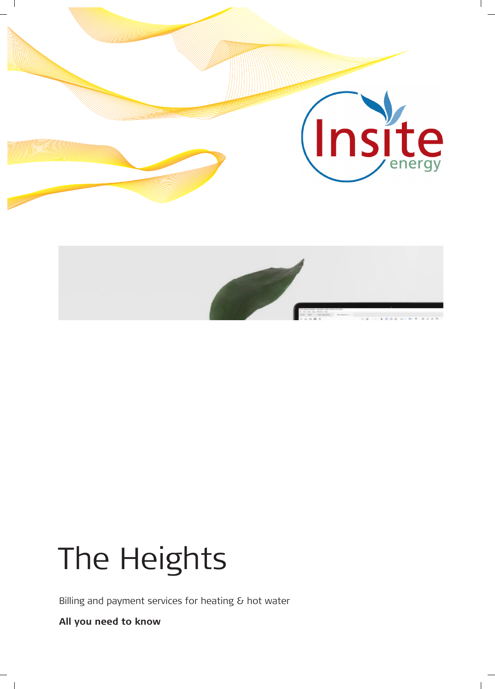

# The Heights

Billing and payment services for heating & hot water

**All you need to know**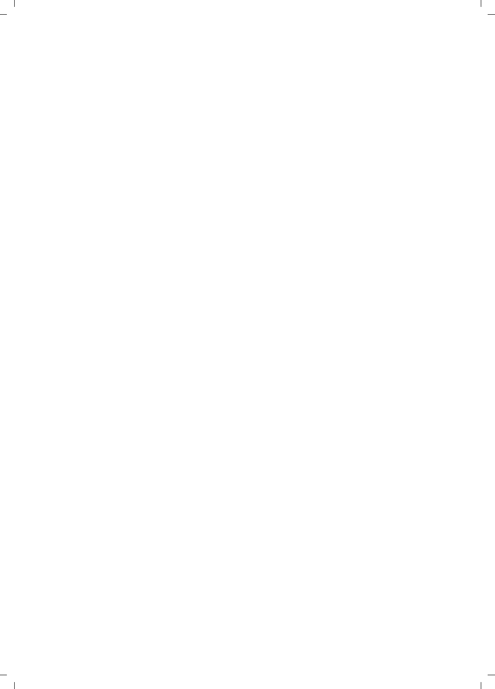$\mathbf{L}$ 

 $\mathbb{R}$ 

 $\overline{\phantom{a}}$   $\overline{\phantom{a}}$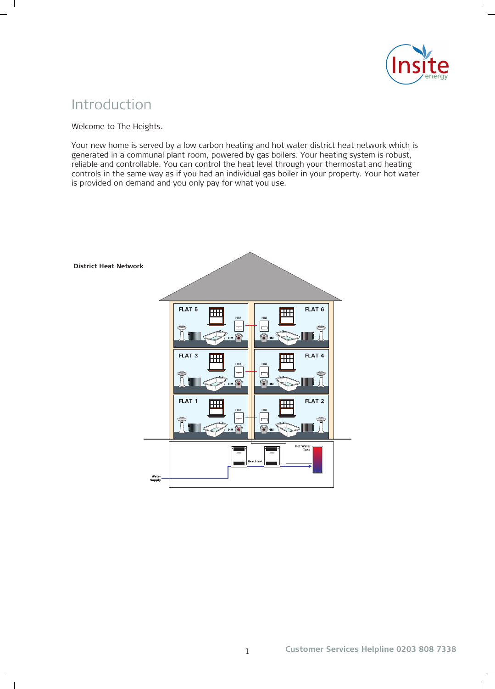

### Introduction

maps

Welcome to The Heights.

Your new home is served by a low carbon heating and hot water district heat network which is generated in a communal plant room, powered by gas boilers. Your heating system is robust, reliable and controllable. You can control the heat level through your thermostat and heating controls in the same way as if you had an individual gas boiler in your property. Your hot water is provided on demand and you only pay for what you use.

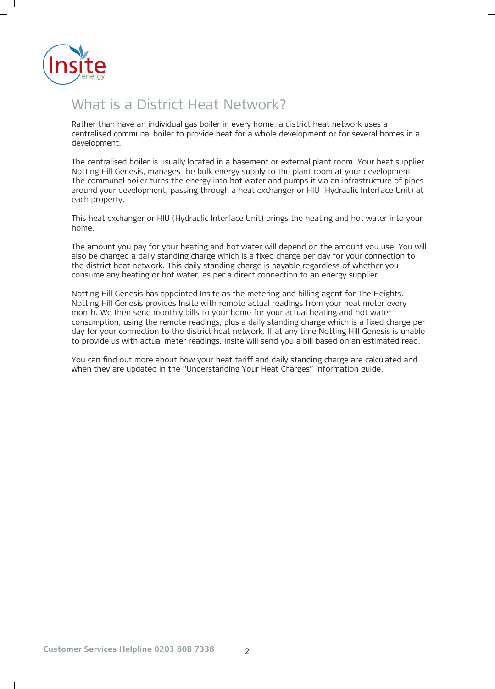

# What is a District Heat Network?

Rather than have an individual gas boiler in every home, a district heat network uses a centralised communal boiler to provide heat for a whole development or for several homes in a development.

The centralised boiler is usually located in a basement or external plant room. Your heat supplier Notting Hill Genesis, manages the bulk energy supply to the plant room at your development. The communal boiler turns the energy into hot water and pumps it via an infrastructure of pipes around your development, passing through a heat exchanger or HIU (Hydraulic Interface Unit) at each property.

This heat exchanger or HIU (Hydraulic Interface Unit) brings the heating and hot water into your home.

The amount you pay for your heating and hot water will depend on the amount you use. You will also be charged a daily standing charge which is a fixed charge per day for your connection to the district heat network. This daily standing charge is payable regardless of whether you consume any heating or hot water, as per a direct connection to an energy supplier.

Notting Hill Genesis has appointed Insite as the metering and billing agent for The Heights. Notting Hill Genesis provides Insite with remote actual readings from your heat meter every month. We then send monthly bills to your home for your actual heating and hot water consumption, using the remote readings, plus a daily standing charge which is a fixed charge per day for your connection to the district heat network. If at any time Notting Hill Genesis is unable to provide us with actual meter readings, Insite will send you a bill based on an estimated read.

You can find out more about how your heat tariff and daily standing charge are calculated and when they are updated in the "Understanding Your Heat Charges" information guide.

**maps**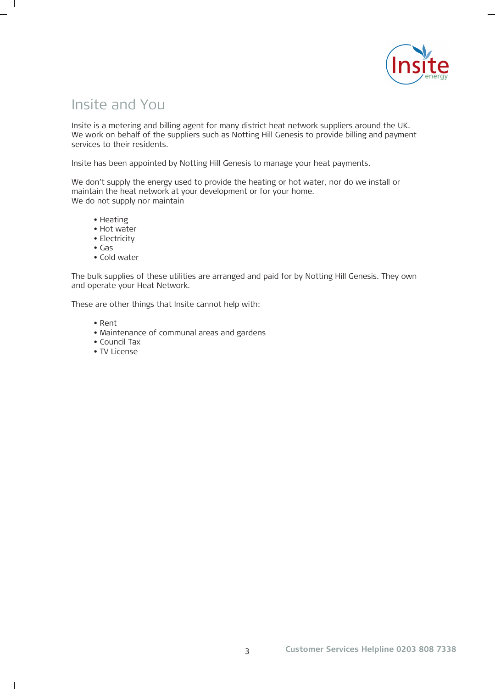

### Insite and You

 $\overline{1}$ 

Insite is a metering and billing agent for many district heat network suppliers around the UK. We work on behalf of the suppliers such as Notting Hill Genesis to provide billing and payment services to their residents.

Insite has been appointed by Notting Hill Genesis to manage your heat payments.

We don't supply the energy used to provide the heating or hot water, nor do we install or maintain the heat network at your development or for your home. We do not supply nor maintain

- Heating Heating
	- Hot water
- Hot water Electricity
- Gas
- Cold water

The bulk supplies of these utilities are arranged and paid for by Notting Hill Genesis. They own and operate your Heat Network.

These are other things that Insite cannot help with:

• Rent

- Maintenance of communal areas and gardens
- $\bullet$  Council Tax
- $\ldots$  measure • TV License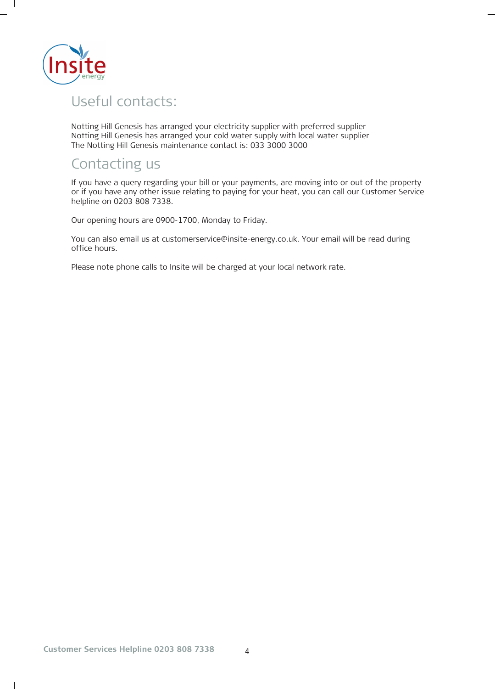

 $\overline{1}$ 

# Useful contacts: Useful contacts:

Notting Hill Genesis has arranged your electricity supplier with preferred supplier Notting Hill Genesis has arranged your cold water supply with local water supplier The Notting Hill Genesis maintenance contact is: 033 3000 3000

### Contacting us

It you have a query regarding your bill or your payments, are moving into or out of the property<br>or if you have any other issue relating to paying for your heat, you can call our Customer Service If you have a query regarding your bill or your payments, are moving into or out of the property helpline on 0203 808 7338.

Our opening hours are 0900-1700, Monday to Friday.

You can also email us at customerservice@insite-energy.co.uk. Your email will be read during office hours.

Please note phone calls to Insite will be charged at your local network rate.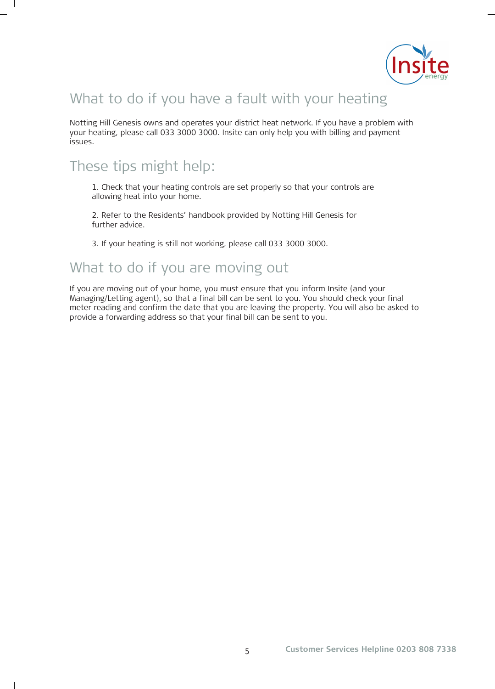

# What to do if you have a fault with your heating

Notting Hill Genesis owns and operates your district heat network. If you have a problem with your heating, please call 033 3000 3000. Insite can only help you with billing and payment payment issues. issues.

### These tips might help:

maps

1. Check that your heating controls are set properly so that your controls are allowing heat into your home.

2. Refer to the Residents' handbook provided by Notting Hill Genesis for further advice.

3. If your heating is still not working, please call 033 3000 3000.

### What to do if you are moving out

If you are moving out of your home, you must ensure that you inform Insite (and your Managing/Letting agent), so that a final bill can be sent to you. You should check your final meter reading and confirm the date that you are leaving the property. You will also be asked to provide a forwarding address so that your final bill can be sent to you.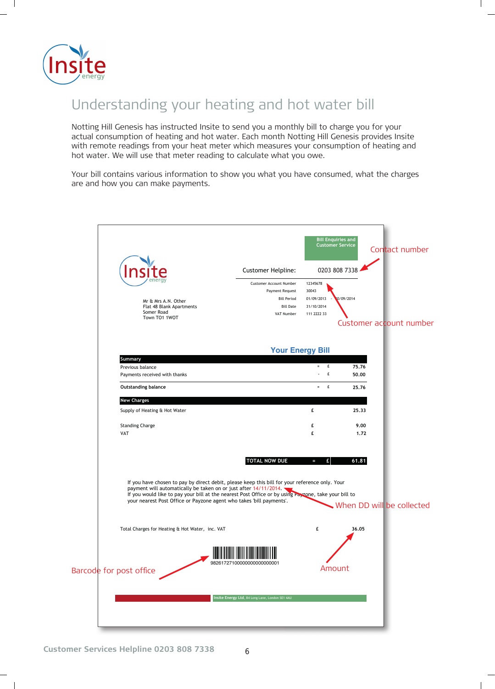

# Understanding your heating and hot water bill

Notting Hill Genesis has instructed Insite to send you a monthly bill to charge you for your actual consumption of heating and hot water. Each month Notting Hill Genesis provides Insite with remote readings from your heat meter which measures your consumption of heating and hot water. We will use that meter reading to calculate what you owe.

Your bill contains various information to show you what you have consumed, what the charges are and how you can make payments.



maps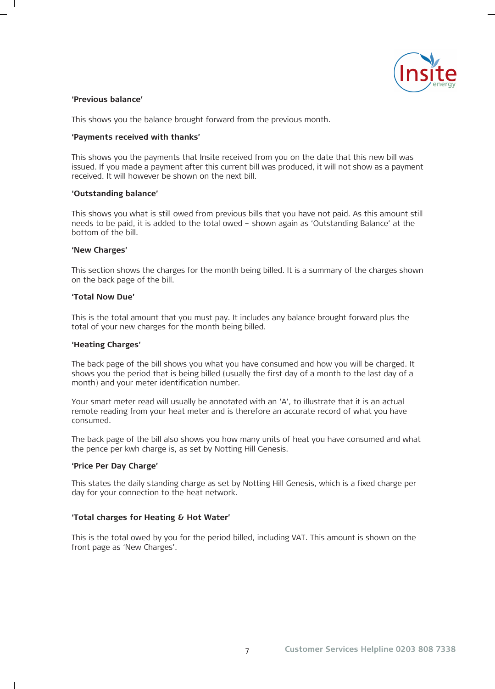

#### **'Previous balance'**

This shows you the balance brought forward from the previous month.

#### **'Payments received with thanks'**

This shows you the payments that Insite received from you on the date that this new bill was issued. If you made a payment after this current bill was produced, it will not show as a payment received. It will however be shown on the next bill.

#### **'Outstanding balance'**

This shows you what is still owed from previous bills that you have not paid. As this amount still needs to be paid, it is added to the total owed – shown again as 'Outstanding Balance' at the bottom of the bill.

#### **'New Charges'**

This section shows the charges for the month being billed. It is a summary of the charges shown on the back page of the bill.

#### **'Total Now Due'**

This is the total amount that you must pay. It includes any balance brought forward plus the total of your new charges for the month being billed.

#### **'Heating Charges'**

The back page of the bill shows you what you have consumed and how you will be charged. It shows you the period that is being billed (usually the first day of a month to the last day of a month) and your meter identification number.

Your smart meter read will usually be annotated with an 'A', to illustrate that it is an actual remote reading from your heat meter and is therefore an accurate record of what you have consumed.

The back page of the bill also shows you how many units of heat you have consumed and what the pence per kwh charge is, as set by Notting Hill Genesis.

#### **'Price Per Day Charge'**

maps

**'Price Per Day Charge'** day for your connection to the heat network. This states the daily standing charge as set by Notting Hill Genesis, which is a fixed charge per

#### **'Total charges for Heating & Hot Water' 'Total charges for Heating & Hot Water'**

 $\frac{1}{2}$  front page as 'New Charges'  $\frac{1}{2}$  is the chargest page as  $\frac{1}{2}$ This is the total owed by you for the period billed, including VAT. This amount is shown on the front page as 'New Charges'.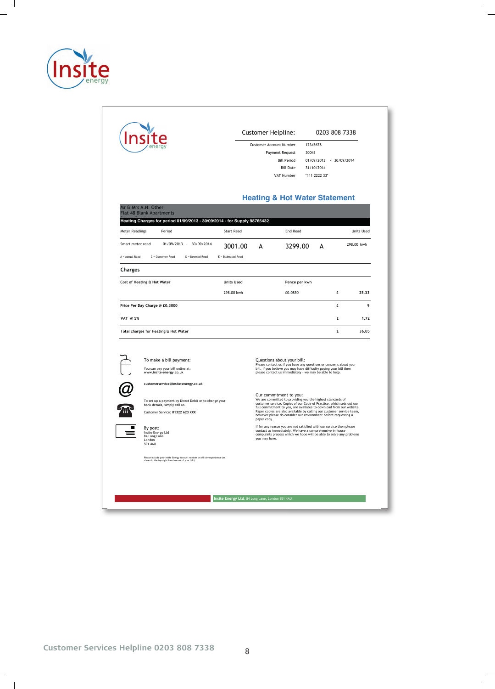

 $\mathbb{R}^2$ 

|                                                                                                                              |                                                                                          |                   | Customer Helpline:<br>Customer Account Number<br>Payment Request<br><b>Bill Period</b><br><b>Bill Date</b><br>VAT Number                                                                                                                                                                                                                                                                      | 12345678<br>30043<br>01/09/2013 - 30/09/2014<br>31/10/2014<br>"111 2222 33" | 0203 808 7338 |            |  |
|------------------------------------------------------------------------------------------------------------------------------|------------------------------------------------------------------------------------------|-------------------|-----------------------------------------------------------------------------------------------------------------------------------------------------------------------------------------------------------------------------------------------------------------------------------------------------------------------------------------------------------------------------------------------|-----------------------------------------------------------------------------|---------------|------------|--|
| Mr & Mrs A.N. Other<br>Flat 48 Blank Apartments<br>Heating Charges for period 01/09/2013 - 30/09/2014 - for Supply 98765432  |                                                                                          |                   | <b>Heating &amp; Hot Water Statement</b>                                                                                                                                                                                                                                                                                                                                                      |                                                                             |               |            |  |
| <b>Meter Readings</b><br>Period                                                                                              |                                                                                          | <b>Start Read</b> | End Read                                                                                                                                                                                                                                                                                                                                                                                      |                                                                             |               | Units Used |  |
| 01/09/2013 - 30/09/2014<br>Smart meter read<br>A - Actual Read<br>C = Customer Read                                          | D = Deemed Read<br>E = Estimated Read                                                    | 3001.00<br>А      | 3299.00                                                                                                                                                                                                                                                                                                                                                                                       | А                                                                           |               | 298.00 kwh |  |
| <b>Charges</b>                                                                                                               |                                                                                          |                   |                                                                                                                                                                                                                                                                                                                                                                                               |                                                                             |               |            |  |
| Cost of Heating & Hot Water                                                                                                  |                                                                                          | <b>Units Used</b> | Pence per kwh                                                                                                                                                                                                                                                                                                                                                                                 |                                                                             |               |            |  |
|                                                                                                                              |                                                                                          | 298.00 kwh        | £0.0850                                                                                                                                                                                                                                                                                                                                                                                       |                                                                             | £             | 25.33      |  |
| Price Per Day Charge @ £0.3000                                                                                               |                                                                                          |                   |                                                                                                                                                                                                                                                                                                                                                                                               |                                                                             | £             | 9          |  |
| VAT @ 5%                                                                                                                     |                                                                                          |                   |                                                                                                                                                                                                                                                                                                                                                                                               |                                                                             | £             | 1.72       |  |
| Total charges for Heating & Hot Water                                                                                        |                                                                                          |                   |                                                                                                                                                                                                                                                                                                                                                                                               |                                                                             | £             | 36.05      |  |
| www.insite-energy.co.uk                                                                                                      | To make a bill payment:<br>You can pay your bill online at:                              |                   | Questions about your bill:<br>Please contact us if you have any questions or concerns about your<br>bill. If you believe you may have difficulty paying your bill then<br>please contact us immediately - we may be able to help.                                                                                                                                                             |                                                                             |               |            |  |
| customerservice@insite-energy.co.uk                                                                                          |                                                                                          |                   |                                                                                                                                                                                                                                                                                                                                                                                               |                                                                             |               |            |  |
| bank details, simply call us.                                                                                                | To set up a payment by Direct Debit or to change your<br>Customer Service: 01322 623 XXX |                   | Our commitment to you:<br>We are committed to providing you the highest standards of<br>customer service. Copies of our Code of Practice, which sets out our<br>full commitment to you, are available to download from our website.<br>Paper copies are also available by calling our customer service team,<br>however please do consider our environment before requesting a<br>paper copy. |                                                                             |               |            |  |
| By post:<br>Insite Energy Ltd<br>84 Long Lane<br>London<br>SE1 4AU                                                           |                                                                                          |                   | If for any reason you are not satisfied with our service then please<br>contact us immediately. We have a comprehensive in-house<br>complaints process which we hope will be able to solve any problems<br>you may have.                                                                                                                                                                      |                                                                             |               |            |  |
| Please include your Insite Energy account number on all correspondence (as shown in the top right hand corner of your bill.) |                                                                                          |                   |                                                                                                                                                                                                                                                                                                                                                                                               |                                                                             |               |            |  |
|                                                                                                                              |                                                                                          |                   |                                                                                                                                                                                                                                                                                                                                                                                               |                                                                             |               |            |  |

 $\mathbb{L}$ 

 $\mathbb{R}^n$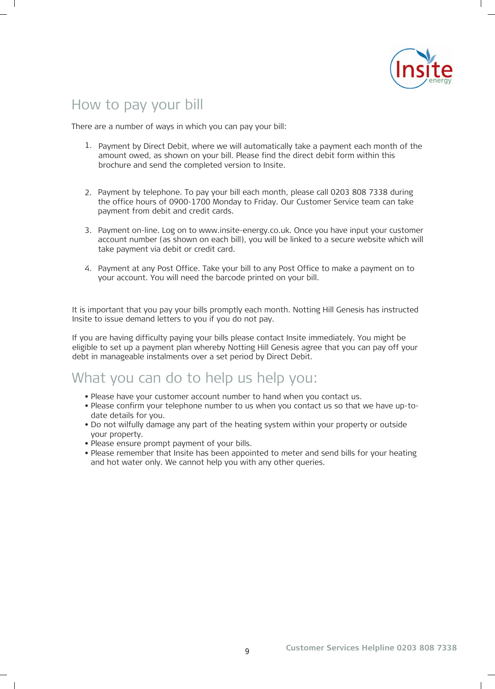

### How to pay your bill

There are a number of ways in which you can pay your bill:

- 1. Payment by Direct Debit, where we will automatically take a payment each month Payment by Direct Debit, where we will automatically take a payment each month of the amount owed, as shown on your bill. Please find the direct debit form within this brochure and send the completed version to Insite.
- 2. Payment by telephone. To pay your bill each month, please call 0203 808 7338 during the office hours of 0900-1700 Monday to Friday. Our Customer Service team can take payment from debit and credit cards.
- 3. Payment on-line. Log on to www.insite-energy.co.uk. Once you have input your customer account number (as shown on each bill), you will be linked to a secure website which will take payment via debit or credit card.
- 4. Payment at any Post Office. Take your bill to any Post Office to make a payment on to your account. You will need the barcode printed on your bill.

It is important that you pay your bills promptly each month. Notting Hill Genesis has instructed Insite to issue demand letters to you if you do not pay.

If you are having difficulty paying your bills please contact Insite immediately. You might be eligible to set up a payment plan whereby Notting Hill Genesis agree that you can pay off your debt in manageable instalments over a set period by Direct Debit.

### What you can do to help us help you: What you can do to help us help you:

- Please have your customer account number to hand when you contact us. Please have your customer account number to hand when you contact us.
- Please confirm your telephone number to us when you contact us so that we have up-• Please confirm your telephone number to us when you contact us so that we have up-to date details for you.
- date details for you.<br>• Do not wilfully damage any part of the heating system within your property or outside • Do not wilfully damage any part of the heating system within your property or outside • your property.
- Please ensure prompt payment of your bills.

maps

 $\bullet$  Please remember that Insite has been appointed to meter and send bills for your heating and hot water only. We cannot help you with any other queries.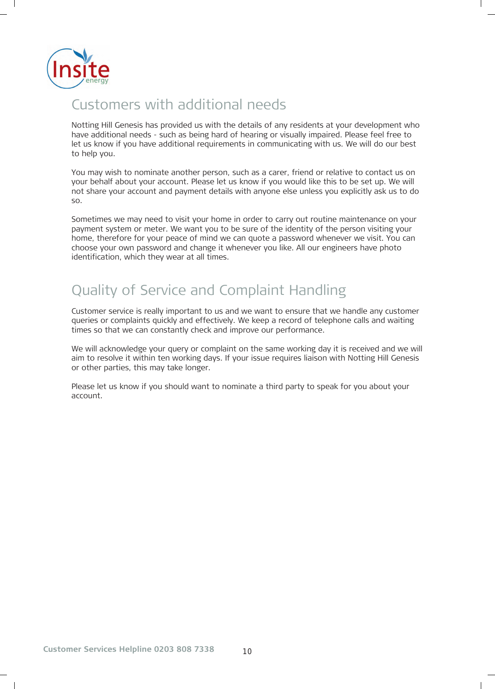

# Customers with additional needs

Notting Hill Genesis has provided us with the details of any residents at your development who have additional needs - such as being hard of hearing or visually impaired. Please feel free to let us know if you have additional requirements in communicating with us. We will do our best to help you.

You may wish to nominate another person, such as a carer, friend or relative to contact us on your behalf about your account. Please let us know if you would like this to be set up. We will not share your account and payment details with anyone else unless you explicitly ask us to do so.

Sometimes we may need to visit your home in order to carry out routine maintenance on your payment system or meter. We want you to be sure of the identity of the person visiting your home, therefore for your peace of mind we can quote a password whenever we visit. You can choose your own password and change it whenever you like. All our engineers have photo identification, which they wear at all times.

# Quality of Service and Complaint Handling

Customer service is really important to us and we want to ensure that we handle any customer Customer service is really important to us and we want to ensure that we handle any customer queries or complaints quickly and effectively. We keep a record of telephone calls and waiting queries or complaints quickly and effectively. We keep a record of telephone calls and waiting times so that we can constantly check and improve our performance. times so that we can constantly check and improve our performance.

We will acknowledge your query or complaint on the same working day it is received and we will We will acknowledge your query or complaint on the same working day it is received and we will aim to resolve it within ten working days. If your issue requires liaison with Notting Hill Genesis or other parties, this may take longer.

Please let us know if you should want to nominate a third party to speak for you about your Please let us know if you should want to nominate a third party to speak for you about your account. account.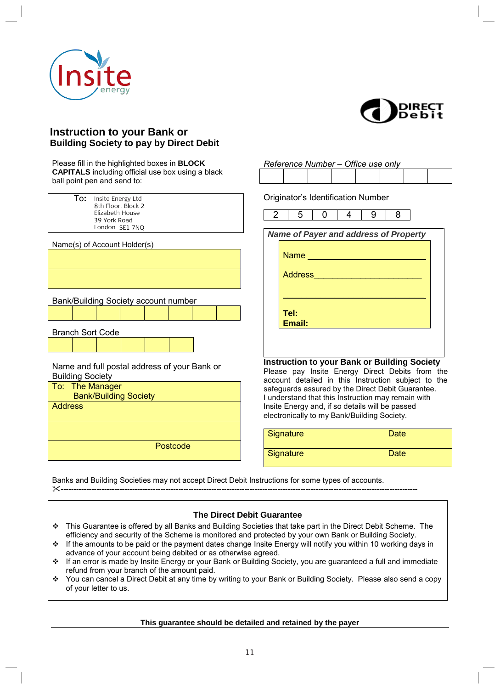



*Reference Number – Office use only* 

#### **Instruction to your Bank or Building Society to pay by Direct Debit**

Please fill in the highlighted boxes in **BLOCK CAPITALS** including official use box using a black ball point pen and send to:

| To: Insite Energy Ltd<br>8th Floor, Block 2    | Originator's Identification Number                                                                     |  |  |  |  |  |
|------------------------------------------------|--------------------------------------------------------------------------------------------------------|--|--|--|--|--|
| Elizabeth House<br>39 York Road                | 5 <sup>5</sup><br>8<br>$\overline{2}$<br>9<br>0<br>4                                                   |  |  |  |  |  |
| London SE1 7NO                                 |                                                                                                        |  |  |  |  |  |
| Name(s) of Account Holder(s)                   | <b>Name of Payer and address of Property</b>                                                           |  |  |  |  |  |
|                                                | <b>Name <i>Name Name</i></b>                                                                           |  |  |  |  |  |
|                                                |                                                                                                        |  |  |  |  |  |
|                                                | <b>Address Address</b>                                                                                 |  |  |  |  |  |
|                                                |                                                                                                        |  |  |  |  |  |
| Bank/Building Society account number           |                                                                                                        |  |  |  |  |  |
|                                                | Tel:                                                                                                   |  |  |  |  |  |
| <b>Branch Sort Code</b>                        | Email:                                                                                                 |  |  |  |  |  |
|                                                |                                                                                                        |  |  |  |  |  |
|                                                |                                                                                                        |  |  |  |  |  |
| Name and full postal address of your Bank or   | <b>Instruction to your Bank or Building Society</b>                                                    |  |  |  |  |  |
| <b>Building Society</b>                        | Please pay Insite Energy Direct Debits from the<br>account detailed in this Instruction subject to the |  |  |  |  |  |
| To: The Manager                                | safeguards assured by the Direct Debit Guarantee.                                                      |  |  |  |  |  |
| <b>Bank/Building Society</b><br><b>Address</b> | I understand that this Instruction may remain with<br>Insite Energy and, if so details will be passed  |  |  |  |  |  |
|                                                | electronically to my Bank/Building Society.                                                            |  |  |  |  |  |
|                                                |                                                                                                        |  |  |  |  |  |
|                                                | <b>Date</b><br>Signature                                                                               |  |  |  |  |  |
| Postcode                                       | Signature<br><b>Date</b>                                                                               |  |  |  |  |  |
|                                                |                                                                                                        |  |  |  |  |  |

Banks and Building Societies may not accept Direct Debit Instructions for some types of accounts.

#### **The Direct Debit Guarantee**

 This Guarantee is offered by all Banks and Building Societies that take part in the Direct Debit Scheme. The efficiency and security of the Scheme is monitored and protected by your own Bank or Building Society.

--------------------------------------------------------------------------------------------------------------------------------------------

- $\cdot \cdot$  If the amounts to be paid or the payment dates change Insite Energy will notify you within 10 working days in advance of your account being debited or as otherwise agreed.
- If an error is made by Insite Energy or your Bank or Building Society, you are guaranteed a full and immediate refund from your branch of the amount paid.
- You can cancel a Direct Debit at any time by writing to your Bank or Building Society. Please also send a copy of your letter to us.

#### **This guarantee should be detailed and retained by the payer**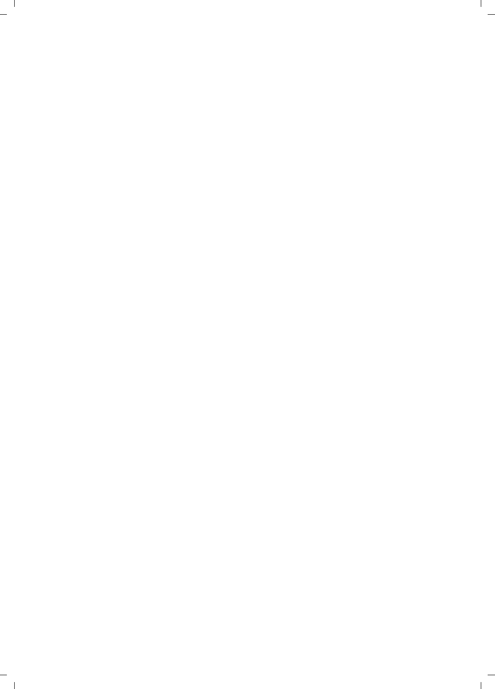$\mathbf{L}$ 

 $\mathbb{R}$ 

 $\overline{\phantom{a}}$   $\overline{\phantom{a}}$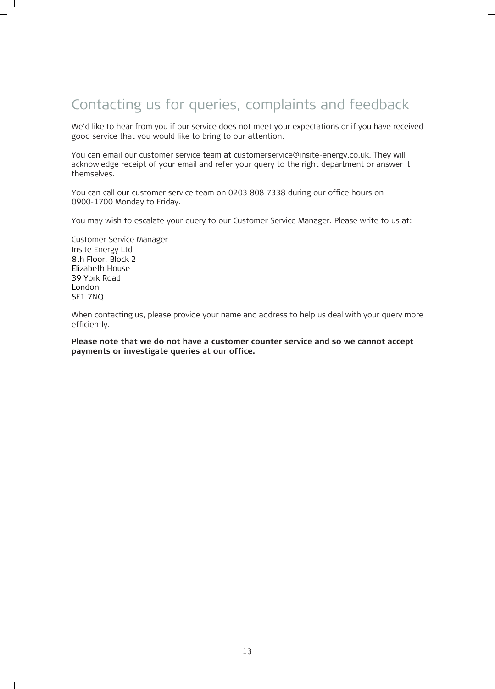# Contacting us for queries, complaints and feedback

We'd like to hear from you if our service does not meet your expectations or if you have received good service that you would like to bring to our attention.

 $\overline{\phantom{a}}$ 

 $\overline{\phantom{a}}$ 

You can email our customer service team at customerservice@insite-energy.co.uk. They will acknowledge receipt of your email and refer your query to the right department or answer it themselves.

You can call our customer service team on o You can call our customer service team on 0203 808 7338 during our office hours on 1700 Monday to Friday. 0900-1700 Monday to Friday.

You may wish to escalate your query to our Customer Service Manager. Please write to us at:

Customer Service Manager Insite Energy Ltd Elizabeth House 39 York Road London SE1 7NQ 8th Floor, Block 2

maps

 $\mathbf{I}$ 

When contacting us, please provide your name and address to help us deal with your query more efficiently.

**Please note that we do not have a customer counter service and so we cannot accept payments or investigate queries at our office.**